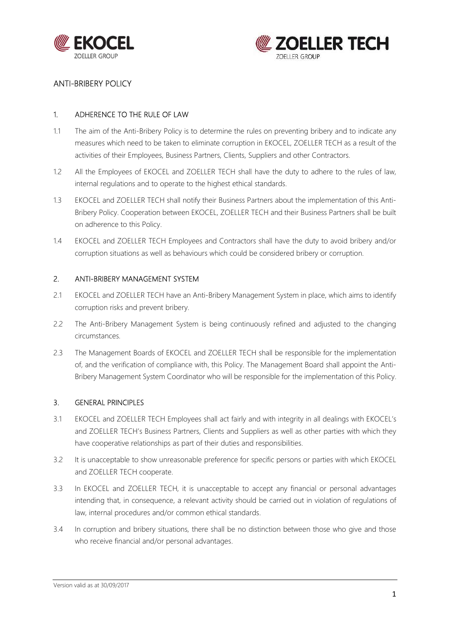



### 1. ADHERENCE TO THE RULE OF LAW

- 1.1 The aim of the Anti-Bribery Policy is to determine the rules on preventing bribery and to indicate any measures which need to be taken to eliminate corruption in EKOCEL, ZOELLER TECH as a result of the activities of their Employees, Business Partners, Clients, Suppliers and other Contractors.
- 1.2 All the Employees of EKOCEL and ZOELLER TECH shall have the duty to adhere to the rules of law, internal regulations and to operate to the highest ethical standards.
- 1.3 EKOCEL and ZOELLER TECH shall notify their Business Partners about the implementation of this Anti-Bribery Policy. Cooperation between EKOCEL, ZOELLER TECH and their Business Partners shall be built on adherence to this Policy.
- 1.4 EKOCEL and ZOELLER TECH Employees and Contractors shall have the duty to avoid bribery and/or corruption situations as well as behaviours which could be considered bribery or corruption.

### 2. ANTI-BRIBERY MANAGEMENT SYSTEM

- 2.1 EKOCEL and ZOELLER TECH have an Anti-Bribery Management System in place, which aims to identify corruption risks and prevent bribery.
- 2.2 The Anti-Bribery Management System is being continuously refined and adjusted to the changing circumstances.
- 2.3 The Management Boards of EKOCEL and ZOELLER TECH shall be responsible for the implementation of, and the verification of compliance with, this Policy. The Management Board shall appoint the Anti-Bribery Management System Coordinator who will be responsible for the implementation of this Policy.

### 3. GENERAL PRINCIPLES

- 3.1 EKOCEL and ZOELLER TECH Employees shall act fairly and with integrity in all dealings with EKOCEL's and ZOELLER TECH's Business Partners, Clients and Suppliers as well as other parties with which they have cooperative relationships as part of their duties and responsibilities.
- 3.2 It is unacceptable to show unreasonable preference for specific persons or parties with which EKOCEL and ZOELLER TECH cooperate.
- 3.3 In EKOCEL and ZOELLER TECH, it is unacceptable to accept any financial or personal advantages intending that, in consequence, a relevant activity should be carried out in violation of regulations of law, internal procedures and/or common ethical standards.
- 3.4 In corruption and bribery situations, there shall be no distinction between those who give and those who receive financial and/or personal advantages.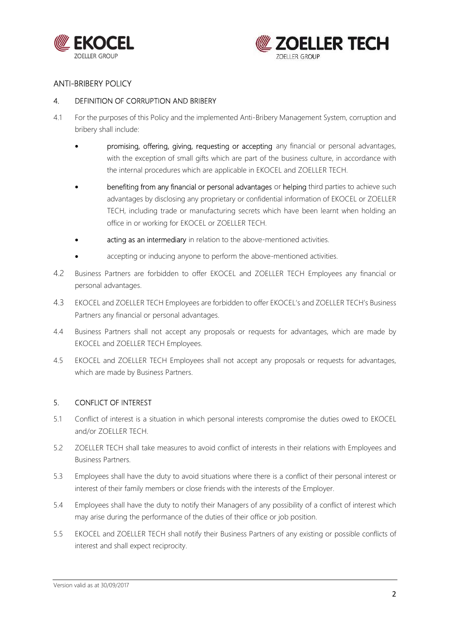



### 4. DEFINITION OF CORRUPTION AND BRIBERY

- 4.1 For the purposes of this Policy and the implemented Anti-Bribery Management System, corruption and bribery shall include:
	- promising, offering, giving, requesting or accepting any financial or personal advantages, with the exception of small gifts which are part of the business culture, in accordance with the internal procedures which are applicable in EKOCEL and ZOELLER TECH.
	- benefiting from any financial or personal advantages or helping third parties to achieve such advantages by disclosing any proprietary or confidential information of EKOCEL or ZOELLER TECH, including trade or manufacturing secrets which have been learnt when holding an office in or working for EKOCEL or ZOELLER TECH.
	- acting as an intermediary in relation to the above-mentioned activities.
	- accepting or inducing anyone to perform the above-mentioned activities.
- 4.2 Business Partners are forbidden to offer EKOCEL and ZOELLER TECH Employees any financial or personal advantages.
- 4.3 EKOCEL and ZOELLER TECH Employees are forbidden to offer EKOCEL's and ZOELLER TECH's Business Partners any financial or personal advantages.
- 4.4 Business Partners shall not accept any proposals or requests for advantages, which are made by EKOCEL and ZOELLER TECH Employees.
- 4.5 EKOCEL and ZOELLER TECH Employees shall not accept any proposals or requests for advantages, which are made by Business Partners.

## 5. CONFLICT OF INTEREST

- 5.1 Conflict of interest is a situation in which personal interests compromise the duties owed to EKOCEL and/or ZOELLER TECH.
- 5.2 ZOELLER TECH shall take measures to avoid conflict of interests in their relations with Employees and Business Partners.
- 5.3 Employees shall have the duty to avoid situations where there is a conflict of their personal interest or interest of their family members or close friends with the interests of the Employer.
- 5.4 Employees shall have the duty to notify their Managers of any possibility of a conflict of interest which may arise during the performance of the duties of their office or job position.
- 5.5 EKOCEL and ZOELLER TECH shall notify their Business Partners of any existing or possible conflicts of interest and shall expect reciprocity.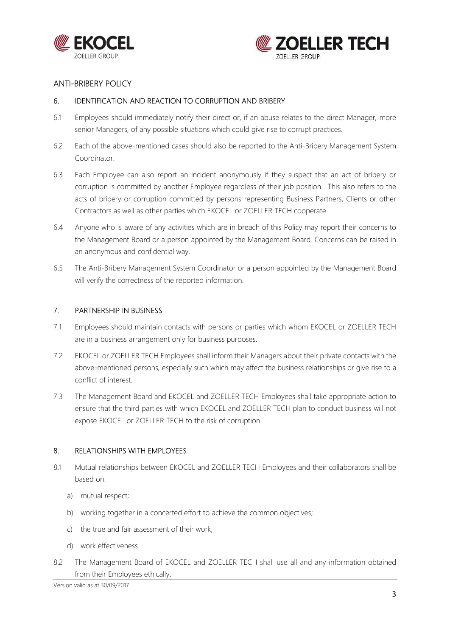



### 6. IDENTIFICATION AND REACTION TO CORRUPTION AND BRIBERY

- 6.1 Employees should immediately notify their direct or, if an abuse relates to the direct Manager, more senior Managers, of any possible situations which could give rise to corrupt practices.
- 6.2 Each of the above-mentioned cases should also be reported to the Anti-Bribery Management System Coordinator.
- 6.3 Each Employee can also report an incident anonymously if they suspect that an act of bribery or corruption is committed by another Employee regardless of their job position. This also refers to the acts of bribery or corruption committed by persons representing Business Partners, Clients or other Contractors as well as other parties which EKOCEL or ZOELLER TECH cooperate.
- 6.4 Anyone who is aware of any activities which are in breach of this Policy may report their concerns to the Management Board or a person appointed by the Management Board. Concerns can be raised in an anonymous and confidential way.
- 6.5 The Anti-Bribery Management System Coordinator or a person appointed by the Management Board will verify the correctness of the reported information.

#### 7. PARTNERSHIP IN BUSINESS

- 7.1 Employees should maintain contacts with persons or parties which whom EKOCEL or ZOELLER TECH are in a business arrangement only for business purposes.
- 7.2 EKOCEL or ZOELLER TECH Employees shall inform their Managers about their private contacts with the above-mentioned persons, especially such which may affect the business relationships or give rise to a conflict of interest.
- 7.3 The Management Board and EKOCEL and ZOELLER TECH Employees shall take appropriate action to ensure that the third parties with which EKOCEL and ZOELLER TECH plan to conduct business will not expose EKOCEL or ZOELLER TECH to the risk of corruption.

#### 8. RELATIONSHIPS WITH EMPLOYEES

- 8.1 Mutual relationships between EKOCEL and ZOELLER TECH Employees and their collaborators shall be based on:
	- a) mutual respect;
	- b) working together in a concerted effort to achieve the common objectives;
	- c) the true and fair assessment of their work;
	- d) work effectiveness.
- 8.2 The Management Board of EKOCEL and ZOELLER TECH shall use all and any information obtained from their Employees ethically.